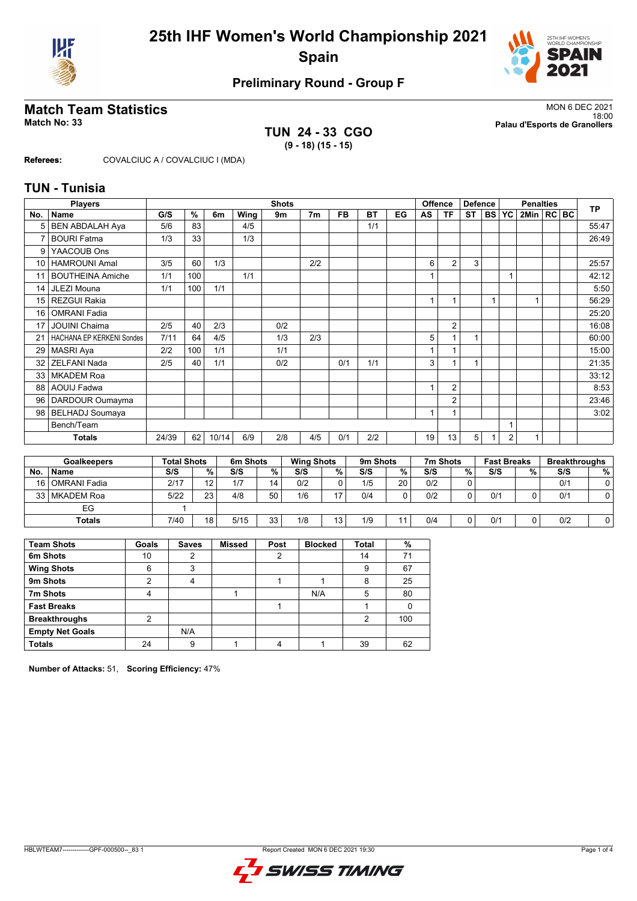



# **Preliminary Round - Group F**

## **TUN 24 - 33 CGO (9 - 18) (15 - 15)**

**Match Team Statistics** MON 6 DEC 2021 18:00 **Match No: 33 Palau d'Esports de Granollers**

**Referees:** COVALCIUC A / COVALCIUC I (MDA)

### **TUN - Tunisia**

|     | <b>Players</b><br><b>Shots</b> |       |                    |                 |          |                |                   | <b>Offence</b> | <b>Defence</b>  |           |        | <b>Penalties</b> |                |                | <b>TP</b> |                    |              |  |     |                      |
|-----|--------------------------------|-------|--------------------|-----------------|----------|----------------|-------------------|----------------|-----------------|-----------|--------|------------------|----------------|----------------|-----------|--------------------|--------------|--|-----|----------------------|
| No. | <b>Name</b>                    | G/S   | $\frac{9}{6}$      | 6m              | Wing     | 9m             |                   | 7m             | <b>FB</b>       | <b>BT</b> | EG     | AS               | <b>TF</b>      | <b>ST</b>      |           | BS YC              | 2Min   RC BC |  |     |                      |
| 5   | <b>BEN ABDALAH Aya</b>         | 5/6   | 83                 |                 | 4/5      |                |                   |                |                 | 1/1       |        |                  |                |                |           |                    |              |  |     | 55:47                |
|     | <b>BOURI Fatma</b>             | 1/3   | 33                 |                 | 1/3      |                |                   |                |                 |           |        |                  |                |                |           |                    |              |  |     | 26:49                |
| 9   | YAACOUB Ons                    |       |                    |                 |          |                |                   |                |                 |           |        |                  |                |                |           |                    |              |  |     |                      |
| 10  | <b>HAMROUNI Amal</b>           | 3/5   | 60                 | 1/3             |          |                |                   | 2/2            |                 |           |        | 6                | $\overline{2}$ | 3              |           |                    |              |  |     | 25:57                |
| 11  | <b>BOUTHEINA Amiche</b>        | 1/1   | 100                |                 | 1/1      |                |                   |                |                 |           |        |                  |                |                |           |                    |              |  |     | 42:12                |
| 14  | <b>JLEZI Mouna</b>             | 1/1   | 100                | 1/1             |          |                |                   |                |                 |           |        |                  |                |                |           |                    |              |  |     | 5:50                 |
| 15  | REZGUI Rakia                   |       |                    |                 |          |                |                   |                |                 |           |        | $\overline{A}$   | 1              |                | 1         |                    |              |  |     | 56:29                |
| 16  | <b>OMRANI Fadia</b>            |       |                    |                 |          |                |                   |                |                 |           |        |                  |                |                |           |                    |              |  |     | 25:20                |
| 17  | <b>JOUINI Chaima</b>           | 2/5   | 40                 | 2/3             |          |                | 0/2               |                |                 |           |        |                  | $\overline{2}$ |                |           |                    |              |  |     | 16:08                |
|     | HACHANA EP KERKENI Sondes      | 7/11  | 64                 | 4/5             |          |                | 1/3               | 2/3            |                 |           |        | 5                | 1              | 1              |           |                    |              |  |     | 60:00                |
| 29  | MASRI Aya                      | 2/2   | 100                | 1/1             |          | 1/1            |                   |                |                 |           |        |                  |                |                |           |                    |              |  |     | 15:00                |
| 32  | <b>ZELFANI Nada</b>            | 2/5   | 40                 | 1/1             |          |                | 0/2               |                | 0/1             | 1/1       |        | 3                |                | $\overline{1}$ |           |                    |              |  |     | 21:35                |
| 33  | <b>MKADEM Roa</b>              |       |                    |                 |          |                |                   |                |                 |           |        |                  |                |                |           |                    |              |  |     | 33:12                |
| 88  | <b>AOUIJ Fadwa</b>             |       |                    |                 |          |                |                   |                |                 |           |        |                  | $\overline{2}$ |                |           |                    |              |  |     | 8:53                 |
| 96  | DARDOUR Oumayma                |       |                    |                 |          |                |                   |                |                 |           |        |                  | $\overline{2}$ |                |           |                    |              |  |     | 23:46                |
| 98  | <b>BELHADJ Soumaya</b>         |       |                    |                 |          |                |                   |                |                 |           |        |                  |                |                |           |                    |              |  |     | 3:02                 |
|     | Bench/Team                     |       |                    |                 |          |                |                   |                |                 |           |        |                  |                |                |           |                    |              |  |     |                      |
|     | <b>Totals</b>                  | 24/39 | 62                 | 10/14           | 6/9      |                | 2/8               | 4/5            | 0/1             | 2/2       |        | 19               | 13             | 5              |           | $\overline{2}$     |              |  |     |                      |
|     |                                |       |                    |                 |          |                |                   |                |                 |           |        |                  |                |                |           |                    |              |  |     |                      |
|     | <b>Goalkeepers</b>             |       | <b>Total Shots</b> |                 | 6m Shots |                | <b>Wing Shots</b> |                |                 | 9m Shots  |        |                  | 7m Shots       |                |           | <b>Fast Breaks</b> |              |  |     | <b>Breakthroughs</b> |
| No. | Name                           | S/S   |                    | %               | S/S      | %              | S/S               |                | $\overline{\%}$ | S/S       | %      | S/S              |                | %              | S/S       |                    | $\%$         |  | S/S | %                    |
| AC  | $OMDMH$ $Table 245$            | 0147  |                    | $\overline{10}$ | 17       | $\overline{A}$ | $\sim$            |                | $\sim$          | $4$ IE    | $\sim$ | 010              |                | $\sim$         |           |                    |              |  | 014 | $\sim$               |

| NO. | ⊩ name              | 515  | "∕∘ | 515  | "∕o | 515 | "∕∘.   | 515 | %              | 5/5 | %      | 515 | "∕∘ | 5/5 | "⁄o∣ |
|-----|---------------------|------|-----|------|-----|-----|--------|-----|----------------|-----|--------|-----|-----|-----|------|
| 16  | <b>OMRANI Fadia</b> | 2/17 | 10  | 1/7  | 14  | 0/2 | $\sim$ | 1/5 | 20             | 0/2 | ◠<br>v |     |     | 0/1 |      |
|     | 33   MKADEM Roa     | 5/22 | 23  | 4/8  | 50  | 1/6 | . –    | 0/4 | 0              | 0/2 | C<br>ັ | 0/1 |     | 0/1 |      |
|     | EG                  |      |     |      |     |     |        |     |                |     |        |     |     |     |      |
|     |                     |      |     |      |     |     |        |     |                |     |        |     |     |     |      |
|     | <b>Totals</b>       | 7/40 | 18  | 5/15 | 33  | 1/8 | 13     | 1/9 | $\overline{ }$ | 0/4 | ◠      | 0/1 |     | 0/2 |      |

| <b>Team Shots</b>      | Goals | <b>Saves</b> | <b>Missed</b> | Post | <b>Blocked</b> | <b>Total</b>  | %   |
|------------------------|-------|--------------|---------------|------|----------------|---------------|-----|
| 6m Shots               | 10    | າ            |               | 2    |                | 14            | 71  |
| <b>Wing Shots</b>      | 6     | 3            |               |      |                | 9             | 67  |
| 9m Shots               | ◠     | 4            |               |      |                | 8             | 25  |
| 7m Shots               | 4     |              |               |      | N/A            | 5             | 80  |
| <b>Fast Breaks</b>     |       |              |               |      |                |               |     |
| <b>Breakthroughs</b>   | າ     |              |               |      |                | $\mathcal{P}$ | 100 |
| <b>Empty Net Goals</b> |       | N/A          |               |      |                |               |     |
| <b>Totals</b>          | 24    | 9            |               |      |                | 39            | 62  |

**Number of Attacks:** 51, **Scoring Efficiency:** 47%

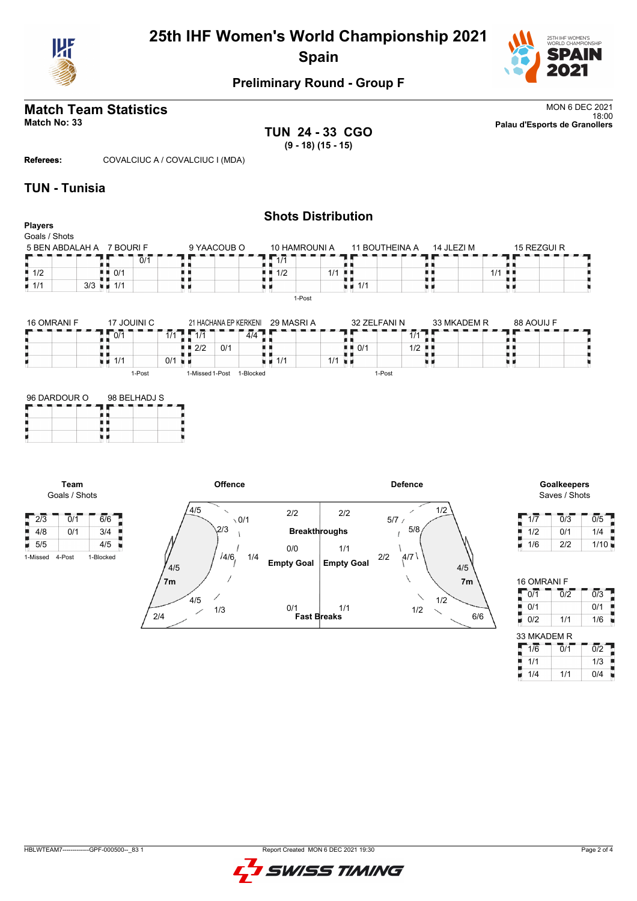

# **25th IHF Women's World Championship 2021 Spain**



## **Preliminary Round - Group F**

**TUN 24 - 33 CGO (9 - 18) (15 - 15)**

**Match Team Statistics** MON 6 DEC 2021<br>18:00 18:00 **Match No: 33 Palau d'Esports de Granollers**

**Referees:** COVALCIUC A / COVALCIUC I (MDA)

### **TUN - Tunisia**

**Team**

| <b>Players</b><br>Goals / Shots   |                                         |                        |                       |                                   |                                    |          |             |             |
|-----------------------------------|-----------------------------------------|------------------------|-----------------------|-----------------------------------|------------------------------------|----------|-------------|-------------|
| 5 BEN ABDALAH A 7 BOURIF          |                                         |                        | 9 YAACOUB O           | 10 HAMROUNI A                     | 11 BOUTHEINA A                     |          | 14 JLEZI M  | 15 REZGUI R |
|                                   | 0/1                                     |                        |                       | $\overline{1/1}$                  |                                    |          |             |             |
| $\overline{11/2}$                 | 0/1                                     |                        |                       | 1/2<br>ш.                         | 1/1<br>. .<br>. .                  | I I      | 1/1         |             |
|                                   |                                         |                        |                       |                                   |                                    |          |             |             |
|                                   | $3/3$ $\blacksquare$ 1/1<br>17 JOUINI C |                        | 21 HACHANA EP KERKENI | u B<br>1-Post<br>29 MASRI A       | $\blacksquare$ 1/1<br>32 ZELFANI N | нπ       | 33 MKADEM R | 88 AOUIJ F  |
|                                   |                                         |                        |                       |                                   |                                    |          |             |             |
|                                   | 0/1                                     | $1/1$ $1/1$            | $\overline{4/4}$      |                                   |                                    | $1/1$ .  |             |             |
|                                   |                                         | 2/2                    | 0/1                   |                                   | 0/1                                | 1/2<br>л |             |             |
| $\blacksquare$ 1/1<br>16 OMRANI F | $\blacksquare$ $\blacksquare$ 1/1       | $0/1$ u $\blacksquare$ |                       | $\blacksquare$ $\blacksquare$ 1/1 | 1/1<br>.                           | . .      |             | п п         |



# Saves / Shots

| 1/7 | 0/3 | 0/5  |
|-----|-----|------|
| 1/2 | 0/1 | 1/4  |
| 1/6 | 2/2 | 1/10 |

| 16 OMRANI F |                  |                  |
|-------------|------------------|------------------|
| 0/1         | $\overline{0}/2$ | $\overline{0/3}$ |
| į<br>0/1    |                  | 0/1              |
| 0/2         | 1/1              | 1/6              |
| 33 MKADEM R |                  |                  |
| 1/6         | Ō/1              | $\overline{0/2}$ |
| 1/1         |                  | 1/3              |
|             |                  |                  |

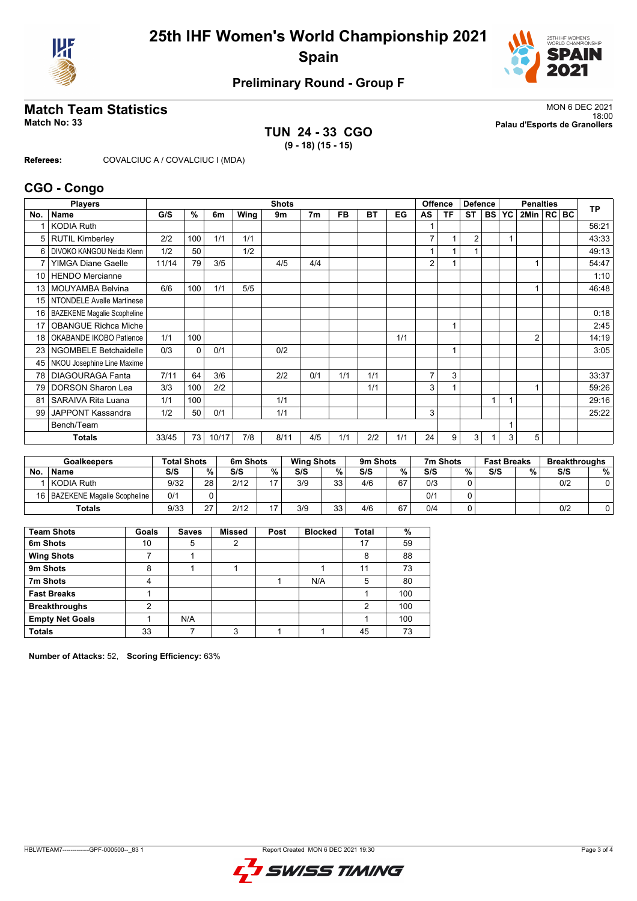



# **Preliminary Round - Group F**

**TUN 24 - 33 CGO (9 - 18) (15 - 15)**

**Match Team Statistics** MON 6 DEC 2021 18:00 **Match No: 33 Palau d'Esports de Granollers**

**Referees:** COVALCIUC A / COVALCIUC I (MDA)

### **CGO - Congo**

|     | <b>Players</b>                     |       |          |       |      | <b>Shots</b> |                |           |           |     |                | Offence | <b>Defence</b> |           |           | <b>Penalties</b> |  | <b>TP</b> |
|-----|------------------------------------|-------|----------|-------|------|--------------|----------------|-----------|-----------|-----|----------------|---------|----------------|-----------|-----------|------------------|--|-----------|
| No. | Name                               | G/S   | %        | 6m    | Wing | 9m           | 7 <sub>m</sub> | <b>FB</b> | <b>BT</b> | EG  | AS             | ΤF      | <b>ST</b>      | <b>BS</b> | <b>YC</b> | 2Min   RC   BC   |  |           |
|     | <b>KODIA Ruth</b>                  |       |          |       |      |              |                |           |           |     |                |         |                |           |           |                  |  | 56:21     |
| 5   | <b>RUTIL Kimberley</b>             | 2/2   | 100      | 1/1   | 1/1  |              |                |           |           |     | $\overline{7}$ |         | 2              |           | 1         |                  |  | 43:33     |
| 6   | DIVOKO KANGOU Neida Klenn          | 1/2   | 50       |       | 1/2  |              |                |           |           |     |                |         |                |           |           |                  |  | 49:13     |
| 7   | <b>YIMGA Diane Gaelle</b>          | 11/14 | 79       | 3/5   |      | 4/5          | 4/4            |           |           |     | 2              |         |                |           |           |                  |  | 54:47     |
| 10  | <b>HENDO Mercianne</b>             |       |          |       |      |              |                |           |           |     |                |         |                |           |           |                  |  | 1:10      |
| 13  | <b>MOUYAMBA Belvina</b>            | 6/6   | 100      | 1/1   | 5/5  |              |                |           |           |     |                |         |                |           |           |                  |  | 46:48     |
| 15  | NTONDELE Avelle Martinese          |       |          |       |      |              |                |           |           |     |                |         |                |           |           |                  |  |           |
| 16  | <b>BAZEKENE Magalie Scopheline</b> |       |          |       |      |              |                |           |           |     |                |         |                |           |           |                  |  | 0:18      |
| 17  | <b>OBANGUE Richca Miche</b>        |       |          |       |      |              |                |           |           |     |                |         |                |           |           |                  |  | 2:45      |
| 18  | OKABANDE IKOBO Patience            | 1/1   | 100      |       |      |              |                |           |           | 1/1 |                |         |                |           |           | $\overline{2}$   |  | 14:19     |
| 23  | <b>NGOMBELE Betchaidelle</b>       | 0/3   | $\Omega$ | 0/1   |      | 0/2          |                |           |           |     |                |         |                |           |           |                  |  | 3:05      |
| 45  | NKOU Josephine Line Maxime         |       |          |       |      |              |                |           |           |     |                |         |                |           |           |                  |  |           |
| 78  | <b>DIAGOURAGA Fanta</b>            | 7/11  | 64       | 3/6   |      | 2/2          | 0/1            | 1/1       | 1/1       |     | $\overline{7}$ | 3       |                |           |           |                  |  | 33:37     |
| 79  | <b>DORSON Sharon Lea</b>           | 3/3   | 100      | 2/2   |      |              |                |           | 1/1       |     | 3              |         |                |           |           |                  |  | 59:26     |
| 81  | <b>SARAIVA Rita Luana</b>          | 1/1   | 100      |       |      | 1/1          |                |           |           |     |                |         |                |           |           |                  |  | 29:16     |
| 99  | JAPPONT Kassandra                  | 1/2   | 50       | 0/1   |      | 1/1          |                |           |           |     | 3              |         |                |           |           |                  |  | 25:22     |
|     | Bench/Team                         |       |          |       |      |              |                |           |           |     |                |         |                |           |           |                  |  |           |
|     | Totals                             | 33/45 | 73       | 10/17 | 7/8  | 8/11         | 4/5            | 1/1       | 2/2       | 1/1 | 24             | 9       | 3              |           | 3         | 5                |  |           |

|           | Goalkeepers                 | <b>Total Shots</b> |        | 6m Shots |                | <b>Wing Shots</b> |          | 9m Shots |    | 7m Shots |   | <b>Fast Breaks</b> |   | <b>Breakthroughs</b> |   |
|-----------|-----------------------------|--------------------|--------|----------|----------------|-------------------|----------|----------|----|----------|---|--------------------|---|----------------------|---|
| <b>No</b> | <b>Name</b>                 | S/S                | %      | S/S      | %              | S/S               | %.       | S/S      | %  | S/S      | % | S/S                | % | S/S                  | % |
|           | l KODIA Ruth                | 9/32               | 28     | 2/12     | $\overline{ }$ | 3/9               | 33<br>JJ | 4/6      | 67 | 0/3      |   |                    |   | 0/2                  |   |
| 16 I      | BAZEKENE Magalie Scopheline | 0/1                |        |          |                |                   |          |          |    | 0/1      |   |                    |   |                      |   |
|           | Totals                      | 9/33               | $\sim$ | 2/12     |                | 3/9               | 33<br>JJ | 4/6      | 67 | 0/4      |   |                    |   | 0/2                  |   |

| <b>Team Shots</b>      | Goals | <b>Saves</b> | <b>Missed</b> | Post | <b>Blocked</b> | <b>Total</b> | %   |
|------------------------|-------|--------------|---------------|------|----------------|--------------|-----|
| 6m Shots               | 10    | 5            | 2             |      |                | 17           | 59  |
| <b>Wing Shots</b>      |       |              |               |      |                | 8            | 88  |
| 9m Shots               | 8     |              |               |      |                | 11           | 73  |
| 7m Shots               | 4     |              |               |      | N/A            | 5            | 80  |
| <b>Fast Breaks</b>     |       |              |               |      |                |              | 100 |
| <b>Breakthroughs</b>   | ◠     |              |               |      |                | 2            | 100 |
| <b>Empty Net Goals</b> |       | N/A          |               |      |                |              | 100 |
| <b>Totals</b>          | 33    |              | 3             |      |                | 45           | 73  |

**Number of Attacks:** 52, **Scoring Efficiency:** 63%